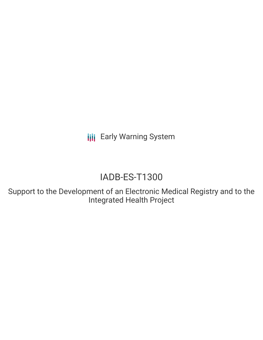**III** Early Warning System

# IADB-ES-T1300

Support to the Development of an Electronic Medical Registry and to the Integrated Health Project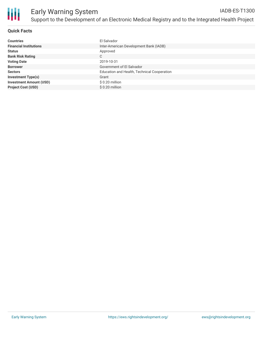

### **Quick Facts**

| <b>Countries</b>               | El Salvador                                 |
|--------------------------------|---------------------------------------------|
| <b>Financial Institutions</b>  | Inter-American Development Bank (IADB)      |
| <b>Status</b>                  | Approved                                    |
| <b>Bank Risk Rating</b>        | C                                           |
| <b>Voting Date</b>             | 2019-10-31                                  |
| <b>Borrower</b>                | Government of El Salvador                   |
| <b>Sectors</b>                 | Education and Health, Technical Cooperation |
| <b>Investment Type(s)</b>      | Grant                                       |
| <b>Investment Amount (USD)</b> | $$0.20$ million                             |
| <b>Project Cost (USD)</b>      | \$0.20 million                              |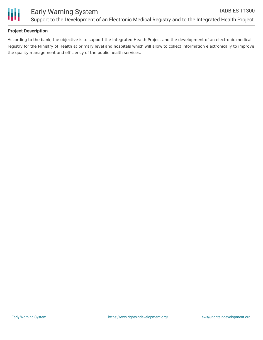

## **Project Description**

According to the bank, the objective is to support the Integrated Health Project and the development of an electronic medical registry for the Ministry of Health at primary level and hospitals which will allow to collect information electronically to improve the quality management and efficiency of the public health services.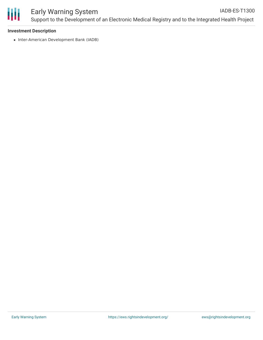

#### **Investment Description**

• Inter-American Development Bank (IADB)